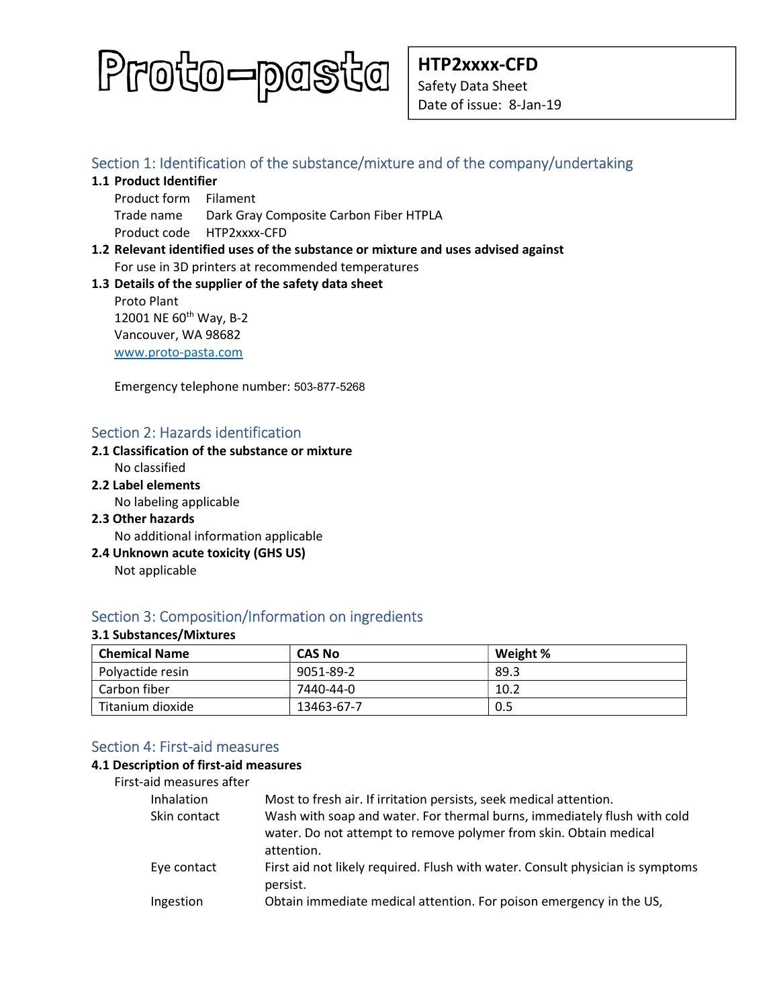

# Section 1: Identification of the substance/mixture and of the company/undertaking

- 1.1 Product Identifier
	- Product form Filament Trade name Dark Gray Composite Carbon Fiber HTPLA Product code HTP2xxxx-CFD
- 1.2 Relevant identified uses of the substance or mixture and uses advised against For use in 3D printers at recommended temperatures

## 1.3 Details of the supplier of the safety data sheet

Proto Plant 12001 NE 60<sup>th</sup> Way, B-2 Vancouver, WA 98682 www.proto-pasta.com

Emergency telephone number: 503-877-5268

# Section 2: Hazards identification

#### 2.1 Classification of the substance or mixture No classified

2.2 Label elements

No labeling applicable

- 2.3 Other hazards No additional information applicable
- 2.4 Unknown acute toxicity (GHS US) Not applicable

# Section 3: Composition/Information on ingredients

## 3.1 Substances/Mixtures

| <b>Chemical Name</b> | <b>CAS No</b> | Weight % |
|----------------------|---------------|----------|
| Polyactide resin     | 9051-89-2     | 89.3     |
| Carbon fiber         | 7440-44-0     | 10.2     |
| Titanium dioxide     | 13463-67-7    | 0.5      |

# Section 4: First-aid measures

#### 4.1 Description of first-aid measures

| Inhalation   | Most to fresh air. If irritation persists, seek medical attention.                                                                                          |
|--------------|-------------------------------------------------------------------------------------------------------------------------------------------------------------|
| Skin contact | Wash with soap and water. For thermal burns, immediately flush with cold<br>water. Do not attempt to remove polymer from skin. Obtain medical<br>attention. |
| Eye contact  | First aid not likely required. Flush with water. Consult physician is symptoms<br>persist.                                                                  |
| Ingestion    | Obtain immediate medical attention. For poison emergency in the US,                                                                                         |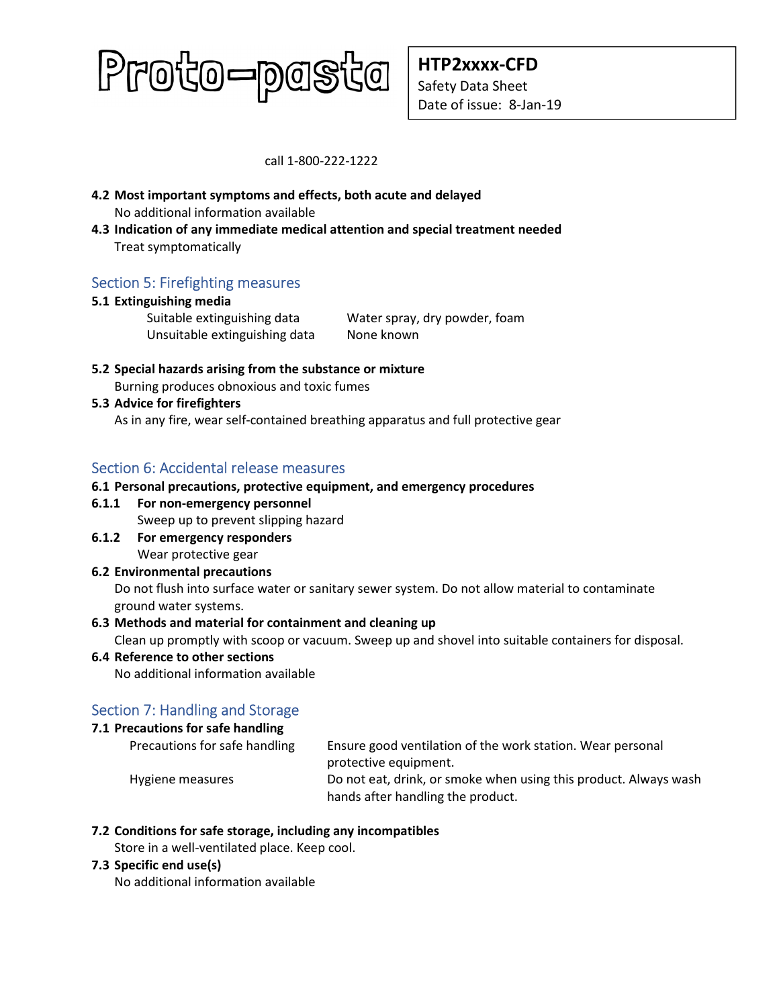# Proto-pasta

HTP2xxxx-CFD Safety Data Sheet Date of issue: 8-Jan-19

call 1-800-222-1222

- 4.2 Most important symptoms and effects, both acute and delayed No additional information available
- 4.3 Indication of any immediate medical attention and special treatment needed Treat symptomatically

# Section 5: Firefighting measures

## 5.1 Extinguishing media

Unsuitable extinguishing data None known

Suitable extinguishing data Water spray, dry powder, foam

5.2 Special hazards arising from the substance or mixture Burning produces obnoxious and toxic fumes

## 5.3 Advice for firefighters

As in any fire, wear self-contained breathing apparatus and full protective gear

# Section 6: Accidental release measures

## 6.1 Personal precautions, protective equipment, and emergency procedures

6.1.1 For non-emergency personnel

Sweep up to prevent slipping hazard

6.1.2 For emergency responders Wear protective gear

# 6.2 Environmental precautions

Do not flush into surface water or sanitary sewer system. Do not allow material to contaminate ground water systems.

## 6.3 Methods and material for containment and cleaning up

Clean up promptly with scoop or vacuum. Sweep up and shovel into suitable containers for disposal.

## 6.4 Reference to other sections

No additional information available

# Section 7: Handling and Storage

## 7.1 Precautions for safe handling

| Precautions for safe handling | Ensure good ventilation of the work station. Wear personal       |
|-------------------------------|------------------------------------------------------------------|
|                               | protective equipment.                                            |
| Hygiene measures              | Do not eat, drink, or smoke when using this product. Always wash |
|                               | hands after handling the product.                                |

## 7.2 Conditions for safe storage, including any incompatibles

Store in a well-ventilated place. Keep cool.

#### 7.3 Specific end use(s)

No additional information available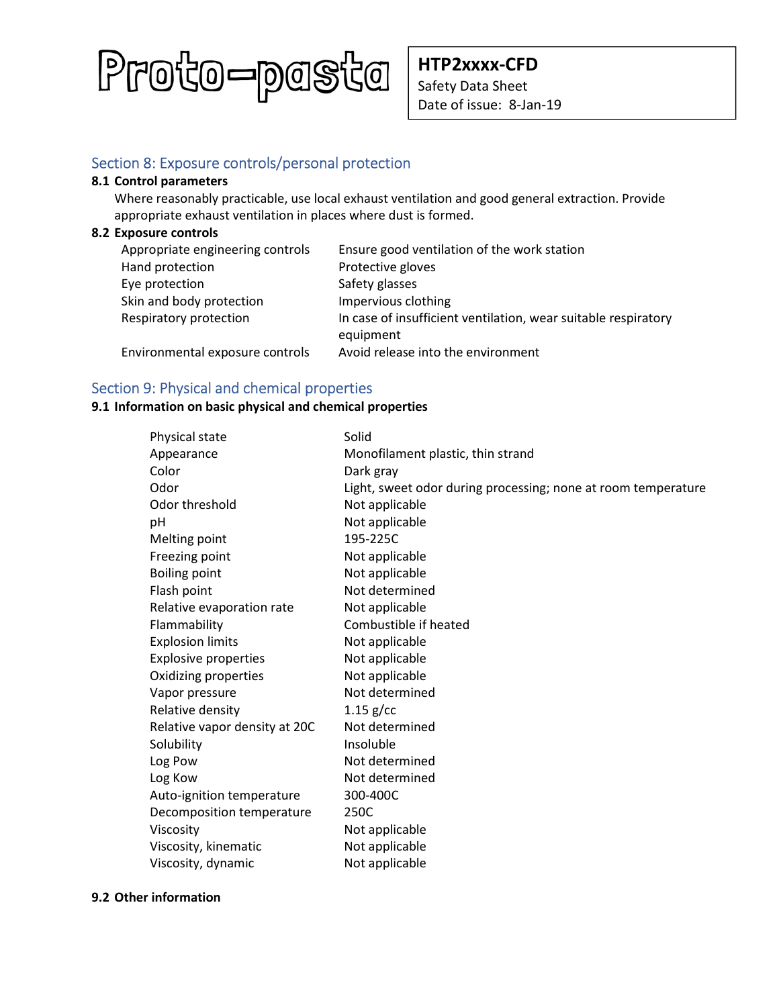

HTP2xxxx-CFD Safety Data Sheet Date of issue: 8-Jan-19

# Section 8: Exposure controls/personal protection

#### 8.1 Control parameters

Where reasonably practicable, use local exhaust ventilation and good general extraction. Provide appropriate exhaust ventilation in places where dust is formed.

#### 8.2 Exposure controls

| Appropriate engineering controls | Ensure good ventilation of the work station                                 |
|----------------------------------|-----------------------------------------------------------------------------|
| Hand protection                  | Protective gloves                                                           |
| Eye protection                   | Safety glasses                                                              |
| Skin and body protection         | Impervious clothing                                                         |
| Respiratory protection           | In case of insufficient ventilation, wear suitable respiratory<br>equipment |
| Environmental exposure controls  | Avoid release into the environment                                          |

# Section 9: Physical and chemical properties

## 9.1 Information on basic physical and chemical properties

| Physical state                | Solid                                                         |
|-------------------------------|---------------------------------------------------------------|
| Appearance                    | Monofilament plastic, thin strand                             |
| Color                         | Dark gray                                                     |
| Odor                          | Light, sweet odor during processing; none at room temperature |
| Odor threshold                | Not applicable                                                |
| рH                            | Not applicable                                                |
| Melting point                 | 195-225C                                                      |
| Freezing point                | Not applicable                                                |
| <b>Boiling point</b>          | Not applicable                                                |
| Flash point                   | Not determined                                                |
| Relative evaporation rate     | Not applicable                                                |
| Flammability                  | Combustible if heated                                         |
| <b>Explosion limits</b>       | Not applicable                                                |
| <b>Explosive properties</b>   | Not applicable                                                |
| Oxidizing properties          | Not applicable                                                |
| Vapor pressure                | Not determined                                                |
| Relative density              | $1.15$ g/cc                                                   |
| Relative vapor density at 20C | Not determined                                                |
| Solubility                    | Insoluble                                                     |
| Log Pow                       | Not determined                                                |
| Log Kow                       | Not determined                                                |
| Auto-ignition temperature     | 300-400C                                                      |
| Decomposition temperature     | 250C                                                          |
| Viscosity                     | Not applicable                                                |
| Viscosity, kinematic          | Not applicable                                                |
| Viscosity, dynamic            | Not applicable                                                |

#### 9.2 Other information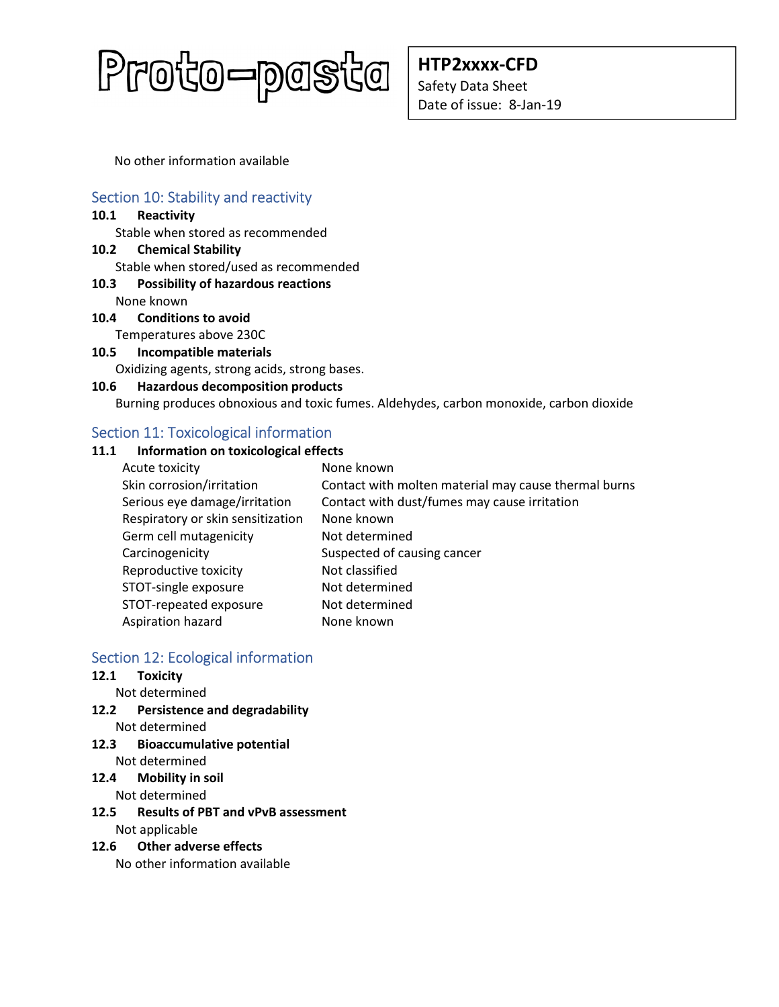

HTP2xxxx-CFD Safety Data Sheet Date of issue: 8-Jan-19

No other information available

# Section 10: Stability and reactivity

#### 10.1 Reactivity

Stable when stored as recommended

10.2 Chemical Stability Stable when stored/used as recommended

# 10.3 Possibility of hazardous reactions

None known

- 10.4 Conditions to avoid Temperatures above 230C
- 10.5 Incompatible materials

Oxidizing agents, strong acids, strong bases.

#### 10.6 Hazardous decomposition products

Burning produces obnoxious and toxic fumes. Aldehydes, carbon monoxide, carbon dioxide

# Section 11: Toxicological information

## 11.1 Information on toxicological effects

| Acute toxicity                    | None known                                           |
|-----------------------------------|------------------------------------------------------|
| Skin corrosion/irritation         | Contact with molten material may cause thermal burns |
| Serious eye damage/irritation     | Contact with dust/fumes may cause irritation         |
| Respiratory or skin sensitization | None known                                           |
| Germ cell mutagenicity            | Not determined                                       |
| Carcinogenicity                   | Suspected of causing cancer                          |
| Reproductive toxicity             | Not classified                                       |
| STOT-single exposure              | Not determined                                       |
| STOT-repeated exposure            | Not determined                                       |
| Aspiration hazard                 | None known                                           |

# Section 12: Ecological information

## 12.1 Toxicity

Not determined

- 12.2 Persistence and degradability Not determined
- 12.3 Bioaccumulative potential Not determined

## 12.4 Mobility in soil

Not determined

12.5 Results of PBT and vPvB assessment Not applicable

## 12.6 Other adverse effects

No other information available